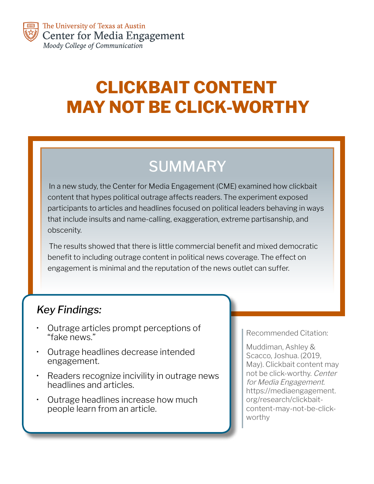

# **CLICKBAIT CONTENT MAY NOT BE CLICK-WORTHY**

# SUMMARY

In a new study, the Center for Media Engagement (CME) examined how clickbait content that hypes political outrage affects readers. The experiment exposed participants to articles and headlines focused on political leaders behaving in ways that include insults and name-calling, exaggeration, extreme partisanship, and obscenity.

The results showed that there is little commercial benefit and mixed democratic benefit to including outrage content in political news coverage. The effect on engagement is minimal and the reputation of the news outlet can suffer.

## Key Findings:

- Outrage articles prompt perceptions of "fake news."
- Outrage headlines decrease intended engagement.
- Readers recognize incivility in outrage news headlines and articles.
- Outrage headlines increase how much people learn from an article.

### Recommended Citation:

Muddiman, Ashley & Scacco, Joshua. (2019, May). Clickbait content may not be click-worthy. Center for Media Engagement. https://mediaengagement. org/research/clickbaitcontent-may-not-be-clickworthy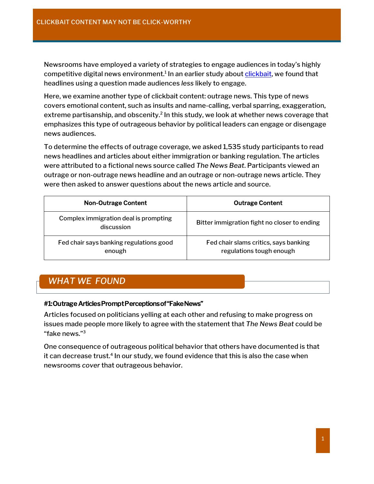Newsrooms have employed a variety of strategies to engage audiences in today's highly competitive digital news environment.<sup>1</sup> In an earlier study about <u>clickbait</u>, we found that headlines using a question made audiences *less* likely to engage.

Here, we examine another type of clickbait content: outrage news. This type of news covers emotional content, such as insults and name-calling, verbal sparring, exaggeration, extreme partisanship, and obscenity. $^2$  In this study, we look at whether news coverage that emphasizes this type of outrageous behavior by political leaders can engage or disengage news audiences.

To determine the effects of outrage coverage, we asked 1,535 study participants to read news headlines and articles about either immigration or banking regulation. The articles were attributed to a fictional news source called *The News Beat*. Participants viewed an outrage or non-outrage news headline and an outrage or non-outrage news article. They were then asked to answer questions about the news article and source.

| <b>Non-Outrage Content</b>                          | <b>Outrage Content</b>                                            |  |
|-----------------------------------------------------|-------------------------------------------------------------------|--|
| Complex immigration deal is prompting<br>discussion | Bitter immigration fight no closer to ending                      |  |
| Fed chair says banking regulations good<br>enough   | Fed chair slams critics, says banking<br>regulations tough enough |  |

## *WHAT WE FOUND*

#### #1: Outrage Articles Prompt Perceptions of "Fake News"

Articles focused on politicians yelling at each other and refusing to make progress on issues made people more likely to agree with the statement that *The News Beat* could be "fake news."<sup>3</sup>

One consequence of outrageous political behavior that others have documented is that it can decrease trust.<sup>4</sup> In our study, we found evidence that this is also the case when newsrooms *cover* that outrageous behavior.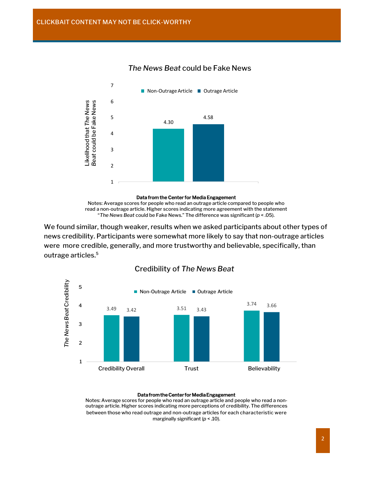

#### *The News Beat* could be Fake News

Data from the Center for Media Engagement Notes: Average scores for people who read an outrage article compared to people who read a non-outrage article. Higher scores indicating more agreement with the statement "*The News Beat* could be Fake News." The difference was significant (*p* < .05).

We found similar, though weaker, results when we asked participants about other types of news credibility. Participants were somewhat more likely to say that non-outrage articles were more credible, generally, and more trustworthy and believable, specifically, than outrage articles. 5



### Credibility of *The News Beat*

#### Data from the Center for Media Engagement

Notes: Average scores for people who read an outrage article and people who read a nonoutrage article. Higher scores indicating more perceptions of credibility. The differences between those who read outrage and non-outrage articles for each characteristic were marginally significant (*p* < .10).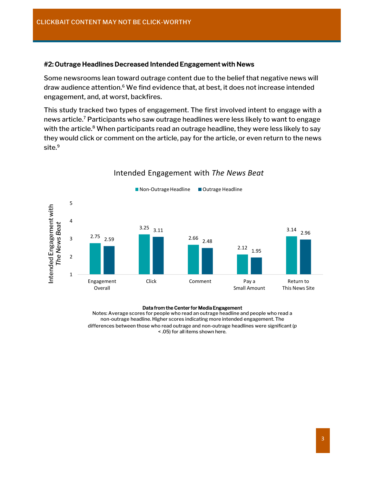#### #2: Outrage Headlines Decreased Intended Engagement with News

Some newsrooms lean toward outrage content due to the belief that negative news will draw audience attention.<sup>6</sup> We find evidence that, at best, it does not increase intended engagement, and, at worst, backfires.

This study tracked two types of engagement. The first involved intent to engage with a news article.<sup>7</sup> Participants who saw outrage headlines were less likely to want to engage with the article.<sup>8</sup> When participants read an outrage headline, they were less likely to say they would click or comment on the article, pay for the article, or even return to the news site.<sup>9</sup>



#### Intended Engagement with *The News Beat*

#### Data from the Center for Media Engagement

Notes: Average scores for people who read an outrage headline and people who read a non-outrage headline. Higher scores indicating more intended engagement. The differences between those who read outrage and non-outrage headlines were significant (*p* < .05) for all items shown here.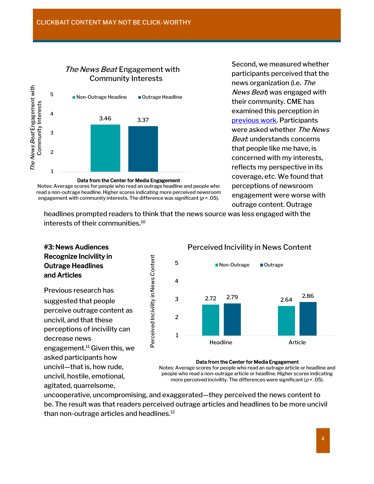

#### The News Beat Engagement with Community Interests



Second, we measured whether participants perceived that the news organization (i.e. The News Beat) was engaged with their community. CME has examined this perception in [previous work.](https://mediaengagement.org/research/public-sources-and-journalists/) Participants were asked whether The News **Beat: understands concerns** that people like me have, is concerned with my interests, reflects my perspective in its coverage, etc. We found that perceptions of newsroom engagement were worse with outrage content. Outrage

headlines prompted readers to think that the news source was less engaged with the interests of their communities.10

#3: News Audiences Recognize Incivility in Outrage Headlines

and Articles

Previous research has suggested that people perceive outrage content as uncivil, and that these perceptions of incivility can decrease news engagement.<sup>11</sup> Given this, we asked participants how uncivil—that is, how rude, uncivil, hostile, emotional, agitated, quarrelsome,



Perceived Incivility in News Content

#### Data from the Center for Media Engagement

Notes: Average scores for people who read an outrage article or headline and people who read a non-outrage article or headline. Higher scores indicating more perceived incivility. The differences were significant ( $p$  < .05).

uncooperative, uncompromising, and exaggerated—they perceived the news content to be. The result was that readers perceived outrage articles and headlines to be more uncivil than non-outrage articles and headlines.<sup>12</sup>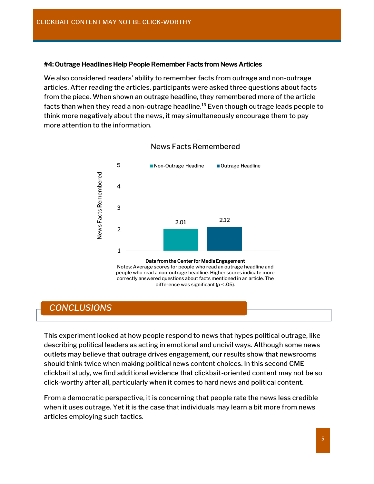#### #4: Outrage Headlines Help People Remember Facts from News Articles

We also considered readers' ability to remember facts from outrage and non-outrage articles. After reading the articles, participants were asked three questions about facts from the piece. When shown an outrage headline, they remembered more of the article facts than when they read a non-outrage headline.<sup>13</sup> Even though outrage leads people to think more negatively about the news, it may simultaneously encourage them to pay more attention to the information.



#### News Facts Remembered

Data from the Center for Media Engagement Notes: Average scores for people who read an outrage headline and people who read a non-outrage headline. Higher scores indicate more correctly answered questions about facts mentioned in an article. The difference was significant (*p* < .05).

#### *CONCLUSIONS*

This experiment looked at how people respond to news that hypes political outrage, like describing political leaders as acting in emotional and uncivil ways. Although some news outlets may believe that outrage drives engagement, our results show that newsrooms should think twice when making political news content choices. In this second CME clickbait study, we find additional evidence that clickbait-oriented content may not be so click-worthy after all, particularly when it comes to hard news and political content.

From a democratic perspective, it is concerning that people rate the news less credible when it uses outrage. Yet it is the case that individuals may learn a bit more from news articles employing such tactics.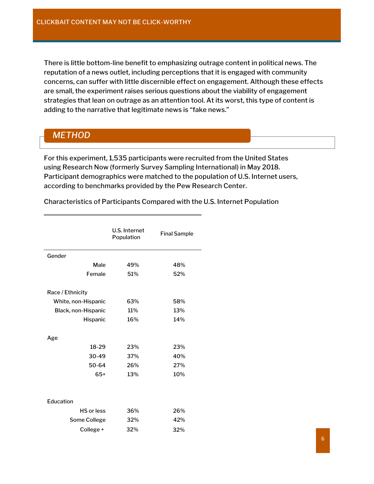There is little bottom-line benefit to emphasizing outrage content in political news. The reputation of a news outlet, including perceptions that it is engaged with community concerns, can suffer with little discernible effect on engagement. Although these effects are small, the experiment raises serious questions about the viability of engagement strategies that lean on outrage as an attention tool. At its worst, this type of content is adding to the narrative that legitimate news is "fake news."

## *METHOD*

For this experiment, 1,535 participants were recruited from the United States using Research Now (formerly Survey Sampling International) in May 2018. Participant demographics were matched to the population of U.S. Internet users, according to benchmarks provided by the Pew Research Center.

Characteristics of Participants Compared with the U.S. Internet Population

|                     | U.S. Internet<br>Population | <b>Final Sample</b> |
|---------------------|-----------------------------|---------------------|
| Gender              |                             |                     |
| Male                | 49%                         | 48%                 |
| Female              | 51%                         | 52%                 |
| Race / Ethnicity    |                             |                     |
| White, non-Hispanic | 63%                         | 58%                 |
| Black, non-Hispanic | 11%                         | 13%                 |
| Hispanic            | 16%                         | 14%                 |
| Age                 |                             |                     |
| 18-29               | 23%                         | 23%                 |
| 30-49               | 37%                         | 40%                 |
| 50-64               | 26%                         | 27%                 |
| $65+$               | 13%                         | 10%                 |
| Education           |                             |                     |
| <b>HS</b> or less   | 36%                         | 26%                 |
| Some College        | 32%                         | 42%                 |
| College +           | 32%                         | 32%                 |
|                     |                             |                     |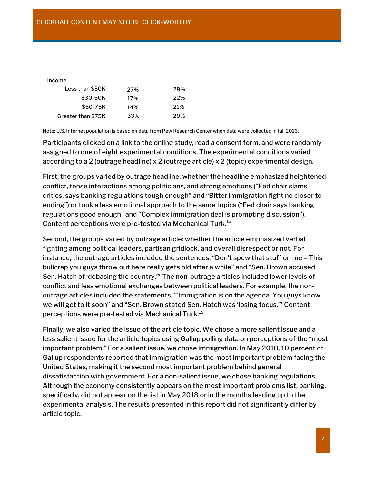| Income             |     |     |
|--------------------|-----|-----|
| Less than \$30K    | 27% | 28% |
| \$30-50K           | 17% | 22% |
| \$50-75K           | 14% | 21% |
| Greater than \$75K | 33% | 29% |
|                    |     |     |

Note: U.S. Internet population is based on data from Pew Research Center when data were collected in fall 2016.

Participants clicked on a link to the online study, read a consent form, and were randomly assigned to one of eight experimental conditions. The experimental conditions varied according to a 2 (outrage headline) x 2 (outrage article) x 2 (topic) experimental design.

First, the groups varied by outrage headline: whether the headline emphasized heightened conflict, tense interactions among politicians, and strong emotions ("Fed chair slams critics, says banking regulations tough enough" and "Bitter immigration fight no closer to ending") or took a less emotional approach to the same topics ("Fed chair says banking regulations good enough" and "Complex immigration deal is prompting discussion"). Content perceptions were pre-tested via Mechanical Turk.<sup>1</sup><sup>4</sup>

Second, the groups varied by outrage article: whether the article emphasized verbal fighting among political leaders, partisan gridlock, and overall disrespect or not. For instance, the outrage articles included the sentences, "Don't spew that stuff on me – This bullcrap you guys throw out here really gets old after a while" and "Sen. Brown accused Sen. Hatch of 'debasing the country.'" The non-outrage articles included lower levels of conflict and less emotional exchanges between political leaders. For example, the nonoutrage articles included the statements, '"Immigration is on the agenda. You guys know we will get to it soon" and "Sen. Brown stated Sen. Hatch was 'losing focus.'" Content perceptions were pre-tested via Mechanical Turk.<sup>1</sup><sup>5</sup>

Finally, we also varied the issue of the article topic. We chose a more salient issue and a less salient issue for the article topics using Gallup polling data on perceptions of the "most important problem." For a salient issue, we chose immigration. In May 2018, 10 percent of Gallup respondents reported that immigration was the most important problem facing the United States, making it the second most important problem behind general dissatisfaction with government. For a non-salient issue, we chose banking regulations. Although the economy consistently appears on the most important problems list, banking, specifically, did not appear on the list in May 2018 or in the months leading up to the experimental analysis. The results presented in this report did not significantly differ by article topic.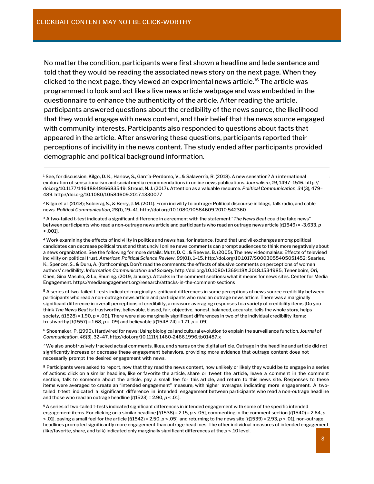No matter the condition, participants were first shown a headline and lede sentence and told that they would be reading the associated news story on the next page. When they clicked to the next page, they viewed an experimental news article.<sup>16</sup> The article was programmed to look and act like a live news article webpage and was embedded in the questionnaire to enhance the authenticity of the article. After reading the article, participants answered questions about the credibility of the news source, the likelihood that they would engage with news content, and their belief that the news source engaged with community interests. Participants also responded to questions about facts that appeared in the article. After answering these questions, participants reported their perceptions of incivility in the news content. The study ended after participants provided demographic and political background information.

<sup>3</sup> A two-tailed t-test indicated a significant difference in agreement with the statement "*The News Beat* could be fake news" between participants who read a non-outrage news article and participants who read an outrage news article [*t*(1549) = -3.633, *p*  $< 0.011$ .

<sup>4</sup> Work examining the effects of incivility in politics and news has, for instance, found that uncivil exchanges among political candidates can decrease political trust and that uncivil online news comments can prompt audiences to think more negatively about a news organization. See the following for more details: Mutz, D. C., & Reeves, B. (2005). The new videomalaise: Effects of televised incivility on political trust. *American Political Science Review*, *99*(01), 1–15. http://doi.org/10.1017/S0003055405051452; Searles, K., Spencer, S., & Duru, A. (forthcoming). Don't read the comments: the effects of abusive comments on perceptions of women authors' credibility. *Information Communication and Society*. http://doi.org/10.1080/1369118X.2018.1534985; Tenenboim, Ori, Chen, Gina Masullo, & Lu, Shuning. (2019, January). Attacks in the comment sections: what it means for news sites. Center for Media Engagement. https://mediaengagement.org/research/attacks-in-the-comment-sections

<sup>5</sup> A series of two-tailed t-tests indicated marginally significant differences in some perceptions of news source credibility between participants who read a non-outrage news article and participants who read an outrage news article. There was a marginally significant difference in overall perceptions of credibility, a measure averaging responses to a variety of credibility items [Do you think *The News Beat* is: trustworthy, believable, biased, fair, objective, honest, balanced, accurate, tells the whole story, helps society, *t*(1528) = 1.90, *p* = .06]. There were also marginally significant differences in two of the individual credibility items: trustworthy [*t*(1557) = 1.68, *p* = .09] and believable [*t*(1548.74) = 1.71, *p* = .09].

<sup>6</sup> Shoemaker, P. (1996). Hardwired for news: Using biological and cultural evolution to explain the surveillance function. *Journal of Communication*, *46*(3), 32–47. http://doi.org/10.1111/j.1460-2466.1996.tb01487.x

<sup>7</sup> We also unobtrusively tracked actual comments, likes, and shares on the digital article. Outrage in the headline and article did not significantly increase or decrease these engagement behaviors, providing more evidence that outrage content does not necessarily prompt the desired engagement with news.

<sup>8</sup> Participants were asked to report, now that they read the news content, how unlikely or likely they would be to engage in a series of actions: click on a similar headline, like or favorite the article, share or tweet the article, leave a comment in the comment section, talk to someone about the article, pay a small fee for this article, and return to this news site. Responses to these items were averaged to create an "intended engagement" measure, with higher averages indicating more engagement. A twotailed t-test indicated a significant difference in intended engagement between participants who read a non-outrage headline and those who read an outrage headline [*t*(1523) = 2.90, *p* < .01].

<sup>9</sup>A series of two-tailed t-tests indicated significant differences in intended engagement with some of the specific intended engagement items. For clicking on a similar headline [*t*(1538) = 2.15, *p* < .05], commenting in the comment section [*t*(1540) = 2.64, *p* < .01], paying a small feel for the article [*t*(1542) = 2.50, *p* < .05], and returning to the news site [*t*(1539) = 2.93, *p* < .01], non-outrage headlines prompted significantly more engagement than outrage headlines. The other individual measures of intended engagement (like/favorite, share, and talk) indicated only marginally significant differences at the *p* < .10 level.

<sup>1</sup> See, for discussion, Kilgo, D. K., Harlow, S., García-Perdomo, V., & Salaverría, R. (2018). A new sensation? An international exploration of sensationalism and social media recommendations in online news publications. *Journalism*, *19*, 1497–1516. http:// doi.org/10.1177/1464884916683549; Stroud, N. J. (2017). Attention as a valuable resource. *Political Communication*, *34*(3), 479– 489. http://doi.org/10.1080/10584609.2017.1330077

<sup>2</sup> Kilgo et al. (2018); Sobieraj, S., & Berry, J. M. (2011). From incivility to outrage: Political discourse in blogs, talk radio, and cable news. *Political Communication*, *28*(1), 19–41. http://doi.org/10.1080/10584609.2010.542360